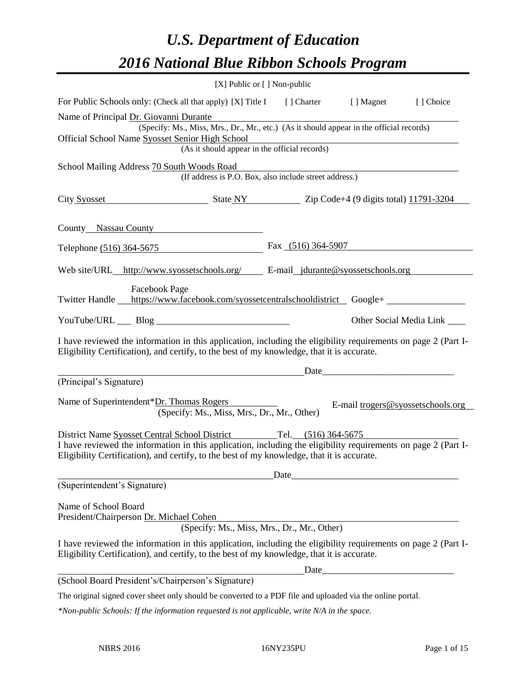# *U.S. Department of Education 2016 National Blue Ribbon Schools Program*

|                                                                                                                                                                                                              | [X] Public or [] Non-public                                                              |      |      |                                   |
|--------------------------------------------------------------------------------------------------------------------------------------------------------------------------------------------------------------|------------------------------------------------------------------------------------------|------|------|-----------------------------------|
| For Public Schools only: (Check all that apply) [X] Title I [] Charter [] Magnet                                                                                                                             |                                                                                          |      |      | [] Choice                         |
| Name of Principal Dr. Giovanni Durante                                                                                                                                                                       |                                                                                          |      |      |                                   |
|                                                                                                                                                                                                              | (Specify: Ms., Miss, Mrs., Dr., Mr., etc.) (As it should appear in the official records) |      |      |                                   |
| Official School Name Syosset Senior High School                                                                                                                                                              | enior High School<br>(As it should appear in the official records)                       |      |      |                                   |
|                                                                                                                                                                                                              |                                                                                          |      |      |                                   |
| School Mailing Address 70 South Woods Road                                                                                                                                                                   | (If address is P.O. Box, also include street address.)                                   |      |      |                                   |
|                                                                                                                                                                                                              |                                                                                          |      |      |                                   |
| City Syosset State NY Zip Code+4 (9 digits total) 11791-3204                                                                                                                                                 |                                                                                          |      |      |                                   |
|                                                                                                                                                                                                              |                                                                                          |      |      |                                   |
| County Nassau County                                                                                                                                                                                         |                                                                                          |      |      |                                   |
| Telephone (516) 364-5675 Fax (516) 364-5907                                                                                                                                                                  |                                                                                          |      |      |                                   |
|                                                                                                                                                                                                              |                                                                                          |      |      |                                   |
| <b>Facebook Page</b>                                                                                                                                                                                         |                                                                                          |      |      |                                   |
| Twitter Handle https://www.facebook.com/syossetcentralschooldistrict Google+                                                                                                                                 |                                                                                          |      |      |                                   |
|                                                                                                                                                                                                              |                                                                                          |      |      |                                   |
| YouTube/URL Blog                                                                                                                                                                                             |                                                                                          |      |      | Other Social Media Link ______    |
| I have reviewed the information in this application, including the eligibility requirements on page 2 (Part I-<br>Eligibility Certification), and certify, to the best of my knowledge, that it is accurate. |                                                                                          |      |      |                                   |
|                                                                                                                                                                                                              |                                                                                          |      | Date |                                   |
| (Principal's Signature)                                                                                                                                                                                      |                                                                                          |      |      |                                   |
| Name of Superintendent*Dr. Thomas Rogers                                                                                                                                                                     | (Specify: Ms., Miss, Mrs., Dr., Mr., Other)                                              |      |      | E-mail trogers@syossetschools.org |
| District Name Syosset Central School District Tel. (516) 364-5675                                                                                                                                            |                                                                                          |      |      |                                   |
| I have reviewed the information in this application, including the eligibility requirements on page 2 (Part I-<br>Eligibility Certification), and certify, to the best of my knowledge, that it is accurate. |                                                                                          |      |      |                                   |
|                                                                                                                                                                                                              |                                                                                          | Date |      |                                   |
| (Superintendent's Signature)                                                                                                                                                                                 |                                                                                          |      |      |                                   |
| Name of School Board<br>President/Chairperson Dr. Michael Cohen                                                                                                                                              |                                                                                          |      |      |                                   |
|                                                                                                                                                                                                              | (Specify: Ms., Miss, Mrs., Dr., Mr., Other)                                              |      |      |                                   |
| I have reviewed the information in this application, including the eligibility requirements on page 2 (Part I-<br>Eligibility Certification), and certify, to the best of my knowledge, that it is accurate. |                                                                                          |      |      |                                   |
|                                                                                                                                                                                                              |                                                                                          |      | Date |                                   |
| (School Board President's/Chairperson's Signature)                                                                                                                                                           |                                                                                          |      |      |                                   |
| The original signed cover sheet only should be converted to a PDF file and uploaded via the online portal.                                                                                                   |                                                                                          |      |      |                                   |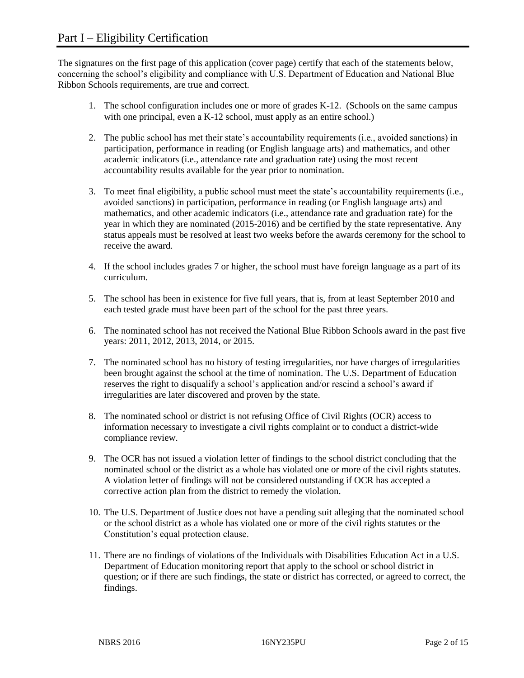The signatures on the first page of this application (cover page) certify that each of the statements below, concerning the school's eligibility and compliance with U.S. Department of Education and National Blue Ribbon Schools requirements, are true and correct.

- 1. The school configuration includes one or more of grades K-12. (Schools on the same campus with one principal, even a K-12 school, must apply as an entire school.)
- 2. The public school has met their state's accountability requirements (i.e., avoided sanctions) in participation, performance in reading (or English language arts) and mathematics, and other academic indicators (i.e., attendance rate and graduation rate) using the most recent accountability results available for the year prior to nomination.
- 3. To meet final eligibility, a public school must meet the state's accountability requirements (i.e., avoided sanctions) in participation, performance in reading (or English language arts) and mathematics, and other academic indicators (i.e., attendance rate and graduation rate) for the year in which they are nominated (2015-2016) and be certified by the state representative. Any status appeals must be resolved at least two weeks before the awards ceremony for the school to receive the award.
- 4. If the school includes grades 7 or higher, the school must have foreign language as a part of its curriculum.
- 5. The school has been in existence for five full years, that is, from at least September 2010 and each tested grade must have been part of the school for the past three years.
- 6. The nominated school has not received the National Blue Ribbon Schools award in the past five years: 2011, 2012, 2013, 2014, or 2015.
- 7. The nominated school has no history of testing irregularities, nor have charges of irregularities been brought against the school at the time of nomination. The U.S. Department of Education reserves the right to disqualify a school's application and/or rescind a school's award if irregularities are later discovered and proven by the state.
- 8. The nominated school or district is not refusing Office of Civil Rights (OCR) access to information necessary to investigate a civil rights complaint or to conduct a district-wide compliance review.
- 9. The OCR has not issued a violation letter of findings to the school district concluding that the nominated school or the district as a whole has violated one or more of the civil rights statutes. A violation letter of findings will not be considered outstanding if OCR has accepted a corrective action plan from the district to remedy the violation.
- 10. The U.S. Department of Justice does not have a pending suit alleging that the nominated school or the school district as a whole has violated one or more of the civil rights statutes or the Constitution's equal protection clause.
- 11. There are no findings of violations of the Individuals with Disabilities Education Act in a U.S. Department of Education monitoring report that apply to the school or school district in question; or if there are such findings, the state or district has corrected, or agreed to correct, the findings.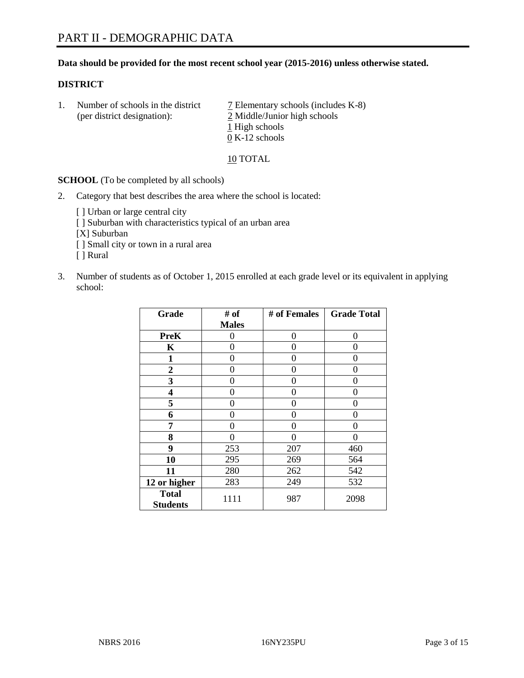# **Data should be provided for the most recent school year (2015-2016) unless otherwise stated.**

## **DISTRICT**

1. Number of schools in the district  $\overline{7}$  Elementary schools (includes K-8) (per district designation): 2 Middle/Junior high schools 1 High schools 0 K-12 schools

10 TOTAL

**SCHOOL** (To be completed by all schools)

- 2. Category that best describes the area where the school is located:
	- [] Urban or large central city [ ] Suburban with characteristics typical of an urban area [X] Suburban [ ] Small city or town in a rural area [ ] Rural
- 3. Number of students as of October 1, 2015 enrolled at each grade level or its equivalent in applying school:

| Grade                           | # of         | # of Females | <b>Grade Total</b> |
|---------------------------------|--------------|--------------|--------------------|
|                                 | <b>Males</b> |              |                    |
| <b>PreK</b>                     | 0            | 0            | 0                  |
| $\mathbf K$                     | 0            | 0            | $\Omega$           |
| 1                               | 0            | 0            | $\Omega$           |
| 2                               | 0            | 0            | 0                  |
| 3                               | 0            | 0            | 0                  |
| 4                               | 0            | 0            | $\Omega$           |
| 5                               | 0            | 0            | 0                  |
| 6                               | 0            | 0            | $\Omega$           |
| 7                               | 0            | 0            | $\Omega$           |
| 8                               | 0            | 0            | 0                  |
| 9                               | 253          | 207          | 460                |
| 10                              | 295          | 269          | 564                |
| 11                              | 280          | 262          | 542                |
| 12 or higher                    | 283          | 249          | 532                |
| <b>Total</b><br><b>Students</b> | 1111         | 987          | 2098               |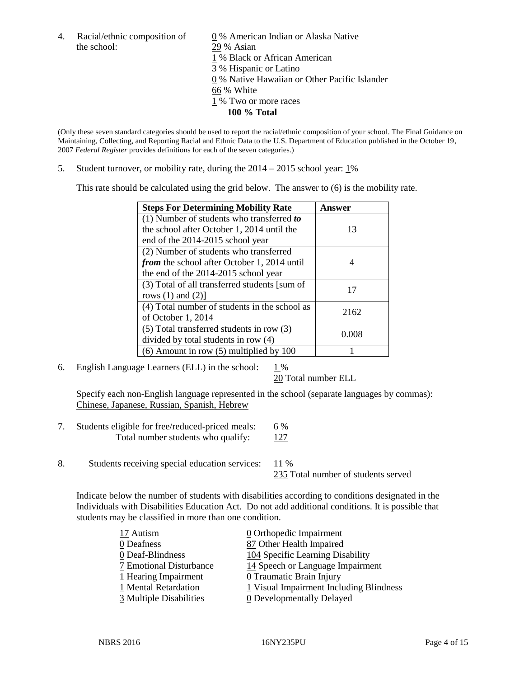the school: 29 % Asian

4. Racial/ethnic composition of  $\qquad 0\%$  American Indian or Alaska Native 1 % Black or African American 3 % Hispanic or Latino 0 % Native Hawaiian or Other Pacific Islander 66 % White 1 % Two or more races **100 % Total**

(Only these seven standard categories should be used to report the racial/ethnic composition of your school. The Final Guidance on Maintaining, Collecting, and Reporting Racial and Ethnic Data to the U.S. Department of Education published in the October 19, 2007 *Federal Register* provides definitions for each of the seven categories.)

5. Student turnover, or mobility rate, during the  $2014 - 2015$  school year:  $1\%$ 

This rate should be calculated using the grid below. The answer to (6) is the mobility rate.

| <b>Steps For Determining Mobility Rate</b>         | Answer |  |
|----------------------------------------------------|--------|--|
| $(1)$ Number of students who transferred to        |        |  |
| the school after October 1, 2014 until the         | 13     |  |
| end of the 2014-2015 school year                   |        |  |
| (2) Number of students who transferred             |        |  |
| <i>from</i> the school after October 1, 2014 until |        |  |
| the end of the 2014-2015 school year               |        |  |
| (3) Total of all transferred students [sum of      | 17     |  |
| rows $(1)$ and $(2)$ ]                             |        |  |
| (4) Total number of students in the school as      | 2162   |  |
| of October 1, 2014                                 |        |  |
| (5) Total transferred students in row (3)          | 0.008  |  |
| divided by total students in row (4)               |        |  |
| $(6)$ Amount in row $(5)$ multiplied by 100        |        |  |

6. English Language Learners (ELL) in the school:  $1\%$ 

20 Total number ELL

Specify each non-English language represented in the school (separate languages by commas): Chinese, Japanese, Russian, Spanish, Hebrew

- 7. Students eligible for free/reduced-priced meals:  $6\%$ Total number students who qualify:  $127$
- 8. Students receiving special education services: 11 %

235 Total number of students served

Indicate below the number of students with disabilities according to conditions designated in the Individuals with Disabilities Education Act. Do not add additional conditions. It is possible that students may be classified in more than one condition.

| 17 Autism               | $\underline{0}$ Orthopedic Impairment   |
|-------------------------|-----------------------------------------|
| 0 Deafness              | 87 Other Health Impaired                |
| 0 Deaf-Blindness        | 104 Specific Learning Disability        |
| 7 Emotional Disturbance | 14 Speech or Language Impairment        |
| 1 Hearing Impairment    | 0 Traumatic Brain Injury                |
| 1 Mental Retardation    | 1 Visual Impairment Including Blindness |
| 3 Multiple Disabilities | <b>0</b> Developmentally Delayed        |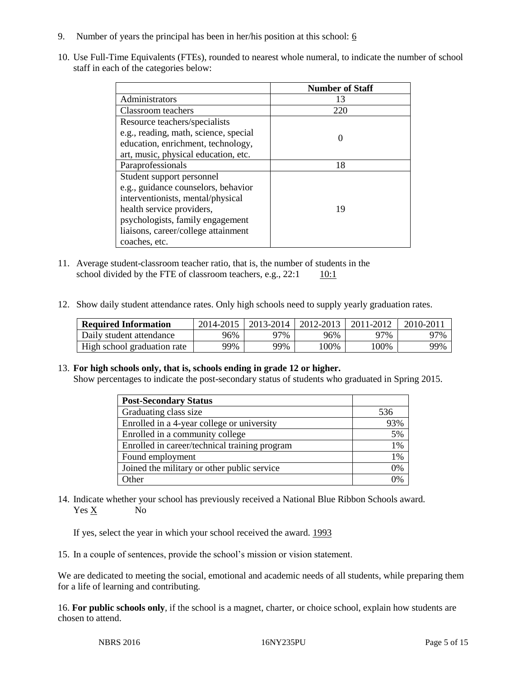- 9. Number of years the principal has been in her/his position at this school:  $6$
- 10. Use Full-Time Equivalents (FTEs), rounded to nearest whole numeral, to indicate the number of school staff in each of the categories below:

|                                       | <b>Number of Staff</b> |
|---------------------------------------|------------------------|
| Administrators                        | 13                     |
| Classroom teachers                    | 220                    |
| Resource teachers/specialists         |                        |
| e.g., reading, math, science, special |                        |
| education, enrichment, technology,    |                        |
| art, music, physical education, etc.  |                        |
| Paraprofessionals                     | 18                     |
| Student support personnel             |                        |
| e.g., guidance counselors, behavior   |                        |
| interventionists, mental/physical     |                        |
| health service providers,             | 19                     |
| psychologists, family engagement      |                        |
| liaisons, career/college attainment   |                        |
| coaches, etc.                         |                        |

- 11. Average student-classroom teacher ratio, that is, the number of students in the school divided by the FTE of classroom teachers, e.g.,  $22:1$  10:1
- 12. Show daily student attendance rates. Only high schools need to supply yearly graduation rates.

| <b>Required Information</b> | 2014-2015 |     | 2013-2014   2012-2013 | 2011-2012 | $2010 - 2011$ |
|-----------------------------|-----------|-----|-----------------------|-----------|---------------|
| Daily student attendance    | 96%       | 97% | 96%                   | 97%       | 97%           |
| High school graduation rate | 99%       | 99% | 00%                   | 100%      | 99%           |

# 13. **For high schools only, that is, schools ending in grade 12 or higher.**

Show percentages to indicate the post-secondary status of students who graduated in Spring 2015.

| <b>Post-Secondary Status</b>                  |     |
|-----------------------------------------------|-----|
| Graduating class size                         | 536 |
| Enrolled in a 4-year college or university    | 93% |
| Enrolled in a community college               | 5%  |
| Enrolled in career/technical training program | 1%  |
| Found employment                              | 1%  |
| Joined the military or other public service   | 0%  |
| Other                                         | ገ%  |

14. Indicate whether your school has previously received a National Blue Ribbon Schools award. Yes X No

If yes, select the year in which your school received the award. 1993

15. In a couple of sentences, provide the school's mission or vision statement.

We are dedicated to meeting the social, emotional and academic needs of all students, while preparing them for a life of learning and contributing.

16. **For public schools only**, if the school is a magnet, charter, or choice school, explain how students are chosen to attend.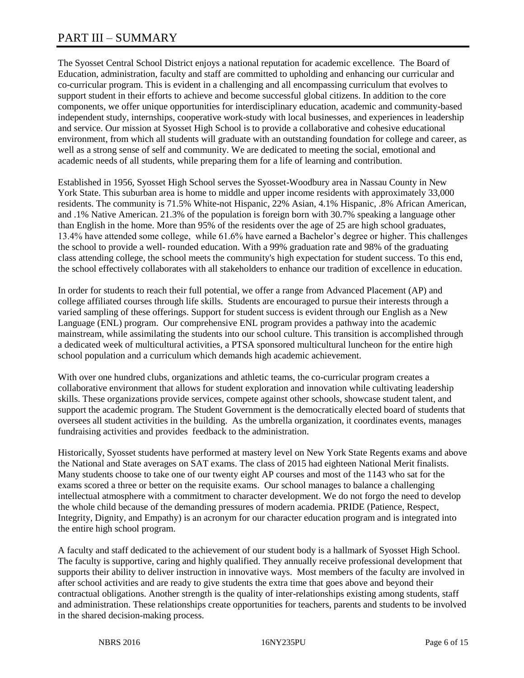# PART III – SUMMARY

The Syosset Central School District enjoys a national reputation for academic excellence. The Board of Education, administration, faculty and staff are committed to upholding and enhancing our curricular and co-curricular program. This is evident in a challenging and all encompassing curriculum that evolves to support student in their efforts to achieve and become successful global citizens. In addition to the core components, we offer unique opportunities for interdisciplinary education, academic and community-based independent study, internships, cooperative work-study with local businesses, and experiences in leadership and service. Our mission at Syosset High School is to provide a collaborative and cohesive educational environment, from which all students will graduate with an outstanding foundation for college and career, as well as a strong sense of self and community. We are dedicated to meeting the social, emotional and academic needs of all students, while preparing them for a life of learning and contribution.

Established in 1956, Syosset High School serves the Syosset-Woodbury area in Nassau County in New York State. This suburban area is home to middle and upper income residents with approximately 33,000 residents. The community is 71.5% White-not Hispanic, 22% Asian, 4.1% Hispanic, .8% African American, and .1% Native American. 21.3% of the population is foreign born with 30.7% speaking a language other than English in the home. More than 95% of the residents over the age of 25 are high school graduates, 13.4% have attended some college, while 61.6% have earned a Bachelor's degree or higher. This challenges the school to provide a well- rounded education. With a 99% graduation rate and 98% of the graduating class attending college, the school meets the community's high expectation for student success. To this end, the school effectively collaborates with all stakeholders to enhance our tradition of excellence in education.

In order for students to reach their full potential, we offer a range from Advanced Placement (AP) and college affiliated courses through life skills. Students are encouraged to pursue their interests through a varied sampling of these offerings. Support for student success is evident through our English as a New Language (ENL) program. Our comprehensive ENL program provides a pathway into the academic mainstream, while assimilating the students into our school culture. This transition is accomplished through a dedicated week of multicultural activities, a PTSA sponsored multicultural luncheon for the entire high school population and a curriculum which demands high academic achievement.

With over one hundred clubs, organizations and athletic teams, the co-curricular program creates a collaborative environment that allows for student exploration and innovation while cultivating leadership skills. These organizations provide services, compete against other schools, showcase student talent, and support the academic program. The Student Government is the democratically elected board of students that oversees all student activities in the building. As the umbrella organization, it coordinates events, manages fundraising activities and provides feedback to the administration.

Historically, Syosset students have performed at mastery level on New York State Regents exams and above the National and State averages on SAT exams. The class of 2015 had eighteen National Merit finalists. Many students choose to take one of our twenty eight AP courses and most of the 1143 who sat for the exams scored a three or better on the requisite exams. Our school manages to balance a challenging intellectual atmosphere with a commitment to character development. We do not forgo the need to develop the whole child because of the demanding pressures of modern academia. PRIDE (Patience, Respect, Integrity, Dignity, and Empathy) is an acronym for our character education program and is integrated into the entire high school program.

A faculty and staff dedicated to the achievement of our student body is a hallmark of Syosset High School. The faculty is supportive, caring and highly qualified. They annually receive professional development that supports their ability to deliver instruction in innovative ways. Most members of the faculty are involved in after school activities and are ready to give students the extra time that goes above and beyond their contractual obligations. Another strength is the quality of inter-relationships existing among students, staff and administration. These relationships create opportunities for teachers, parents and students to be involved in the shared decision-making process.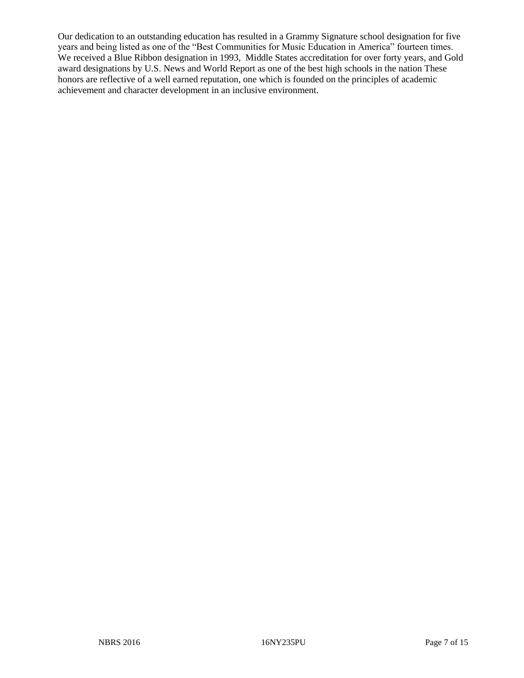Our dedication to an outstanding education has resulted in a Grammy Signature school designation for five years and being listed as one of the "Best Communities for Music Education in America" fourteen times. We received a Blue Ribbon designation in 1993, Middle States accreditation for over forty years, and Gold award designations by U.S. News and World Report as one of the best high schools in the nation These honors are reflective of a well earned reputation, one which is founded on the principles of academic achievement and character development in an inclusive environment.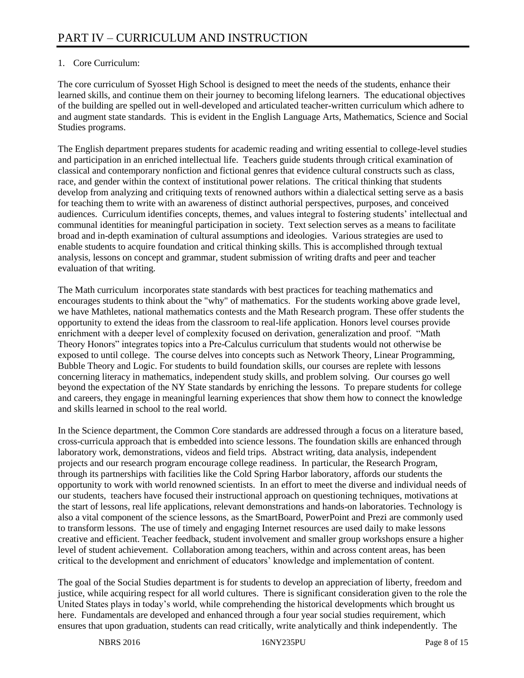# 1. Core Curriculum:

The core curriculum of Syosset High School is designed to meet the needs of the students, enhance their learned skills, and continue them on their journey to becoming lifelong learners. The educational objectives of the building are spelled out in well-developed and articulated teacher-written curriculum which adhere to and augment state standards. This is evident in the English Language Arts, Mathematics, Science and Social Studies programs.

The English department prepares students for academic reading and writing essential to college-level studies and participation in an enriched intellectual life. Teachers guide students through critical examination of classical and contemporary nonfiction and fictional genres that evidence cultural constructs such as class, race, and gender within the context of institutional power relations. The critical thinking that students develop from analyzing and critiquing texts of renowned authors within a dialectical setting serve as a basis for teaching them to write with an awareness of distinct authorial perspectives, purposes, and conceived audiences. Curriculum identifies concepts, themes, and values integral to fostering students' intellectual and communal identities for meaningful participation in society. Text selection serves as a means to facilitate broad and in-depth examination of cultural assumptions and ideologies. Various strategies are used to enable students to acquire foundation and critical thinking skills. This is accomplished through textual analysis, lessons on concept and grammar, student submission of writing drafts and peer and teacher evaluation of that writing.

The Math curriculum incorporates state standards with best practices for teaching mathematics and encourages students to think about the "why" of mathematics. For the students working above grade level, we have Mathletes, national mathematics contests and the Math Research program. These offer students the opportunity to extend the ideas from the classroom to real-life application. Honors level courses provide enrichment with a deeper level of complexity focused on derivation, generalization and proof. "Math Theory Honors" integrates topics into a Pre-Calculus curriculum that students would not otherwise be exposed to until college. The course delves into concepts such as Network Theory, Linear Programming, Bubble Theory and Logic. For students to build foundation skills, our courses are replete with lessons concerning literacy in mathematics, independent study skills, and problem solving. Our courses go well beyond the expectation of the NY State standards by enriching the lessons. To prepare students for college and careers, they engage in meaningful learning experiences that show them how to connect the knowledge and skills learned in school to the real world.

In the Science department, the Common Core standards are addressed through a focus on a literature based, cross-curricula approach that is embedded into science lessons. The foundation skills are enhanced through laboratory work, demonstrations, videos and field trips. Abstract writing, data analysis, independent projects and our research program encourage college readiness. In particular, the Research Program, through its partnerships with facilities like the Cold Spring Harbor laboratory, affords our students the opportunity to work with world renowned scientists. In an effort to meet the diverse and individual needs of our students, teachers have focused their instructional approach on questioning techniques, motivations at the start of lessons, real life applications, relevant demonstrations and hands-on laboratories. Technology is also a vital component of the science lessons, as the SmartBoard, PowerPoint and Prezi are commonly used to transform lessons. The use of timely and engaging Internet resources are used daily to make lessons creative and efficient. Teacher feedback, student involvement and smaller group workshops ensure a higher level of student achievement. Collaboration among teachers, within and across content areas, has been critical to the development and enrichment of educators' knowledge and implementation of content.

The goal of the Social Studies department is for students to develop an appreciation of liberty, freedom and justice, while acquiring respect for all world cultures. There is significant consideration given to the role the United States plays in today's world, while comprehending the historical developments which brought us here. Fundamentals are developed and enhanced through a four year social studies requirement, which ensures that upon graduation, students can read critically, write analytically and think independently. The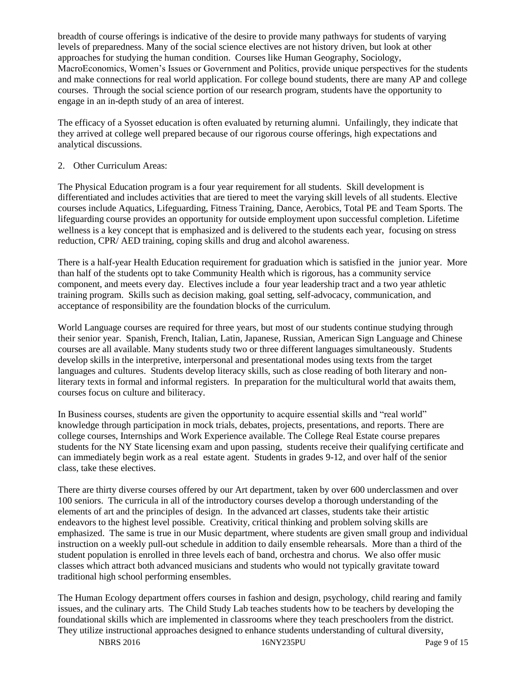breadth of course offerings is indicative of the desire to provide many pathways for students of varying levels of preparedness. Many of the social science electives are not history driven, but look at other approaches for studying the human condition. Courses like Human Geography, Sociology, MacroEconomics, Women's Issues or Government and Politics, provide unique perspectives for the students and make connections for real world application. For college bound students, there are many AP and college courses. Through the social science portion of our research program, students have the opportunity to engage in an in-depth study of an area of interest.

The efficacy of a Syosset education is often evaluated by returning alumni. Unfailingly, they indicate that they arrived at college well prepared because of our rigorous course offerings, high expectations and analytical discussions.

#### 2. Other Curriculum Areas:

The Physical Education program is a four year requirement for all students. Skill development is differentiated and includes activities that are tiered to meet the varying skill levels of all students. Elective courses include Aquatics, Lifeguarding, Fitness Training, Dance, Aerobics, Total PE and Team Sports. The lifeguarding course provides an opportunity for outside employment upon successful completion. Lifetime wellness is a key concept that is emphasized and is delivered to the students each year, focusing on stress reduction, CPR/ AED training, coping skills and drug and alcohol awareness.

There is a half-year Health Education requirement for graduation which is satisfied in the junior year. More than half of the students opt to take Community Health which is rigorous, has a community service component, and meets every day. Electives include a four year leadership tract and a two year athletic training program. Skills such as decision making, goal setting, self-advocacy, communication, and acceptance of responsibility are the foundation blocks of the curriculum.

World Language courses are required for three years, but most of our students continue studying through their senior year. Spanish, French, Italian, Latin, Japanese, Russian, American Sign Language and Chinese courses are all available. Many students study two or three different languages simultaneously. Students develop skills in the interpretive, interpersonal and presentational modes using texts from the target languages and cultures. Students develop literacy skills, such as close reading of both literary and nonliterary texts in formal and informal registers. In preparation for the multicultural world that awaits them, courses focus on culture and biliteracy.

In Business courses, students are given the opportunity to acquire essential skills and "real world" knowledge through participation in mock trials, debates, projects, presentations, and reports. There are college courses, Internships and Work Experience available. The College Real Estate course prepares students for the NY State licensing exam and upon passing, students receive their qualifying certificate and can immediately begin work as a real estate agent. Students in grades 9-12, and over half of the senior class, take these electives.

There are thirty diverse courses offered by our Art department, taken by over 600 underclassmen and over 100 seniors. The curricula in all of the introductory courses develop a thorough understanding of the elements of art and the principles of design. In the advanced art classes, students take their artistic endeavors to the highest level possible. Creativity, critical thinking and problem solving skills are emphasized. The same is true in our Music department, where students are given small group and individual instruction on a weekly pull-out schedule in addition to daily ensemble rehearsals. More than a third of the student population is enrolled in three levels each of band, orchestra and chorus. We also offer music classes which attract both advanced musicians and students who would not typically gravitate toward traditional high school performing ensembles.

The Human Ecology department offers courses in fashion and design, psychology, child rearing and family issues, and the culinary arts. The Child Study Lab teaches students how to be teachers by developing the foundational skills which are implemented in classrooms where they teach preschoolers from the district. They utilize instructional approaches designed to enhance students understanding of cultural diversity,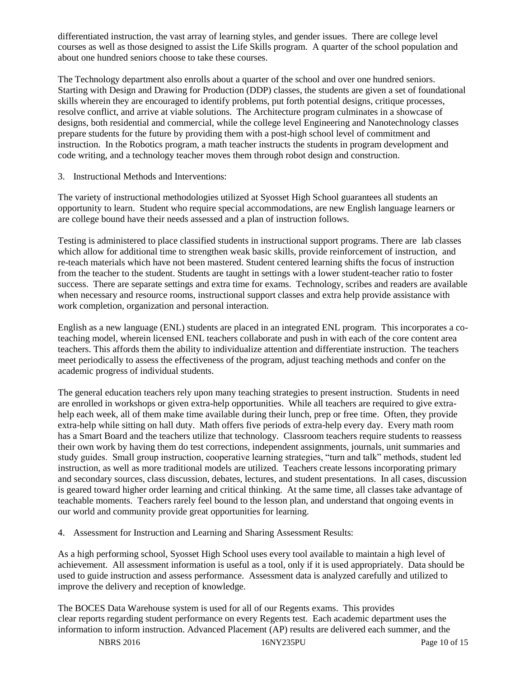differentiated instruction, the vast array of learning styles, and gender issues. There are college level courses as well as those designed to assist the Life Skills program. A quarter of the school population and about one hundred seniors choose to take these courses.

The Technology department also enrolls about a quarter of the school and over one hundred seniors. Starting with Design and Drawing for Production (DDP) classes, the students are given a set of foundational skills wherein they are encouraged to identify problems, put forth potential designs, critique processes, resolve conflict, and arrive at viable solutions. The Architecture program culminates in a showcase of designs, both residential and commercial, while the college level Engineering and Nanotechnology classes prepare students for the future by providing them with a post-high school level of commitment and instruction. In the Robotics program, a math teacher instructs the students in program development and code writing, and a technology teacher moves them through robot design and construction.

3. Instructional Methods and Interventions:

The variety of instructional methodologies utilized at Syosset High School guarantees all students an opportunity to learn. Student who require special accommodations, are new English language learners or are college bound have their needs assessed and a plan of instruction follows.

Testing is administered to place classified students in instructional support programs. There are lab classes which allow for additional time to strengthen weak basic skills, provide reinforcement of instruction, and re-teach materials which have not been mastered. Student centered learning shifts the focus of instruction from the teacher to the student. Students are taught in settings with a lower student-teacher ratio to foster success. There are separate settings and extra time for exams. Technology, scribes and readers are available when necessary and resource rooms, instructional support classes and extra help provide assistance with work completion, organization and personal interaction.

English as a new language (ENL) students are placed in an integrated ENL program. This incorporates a coteaching model, wherein licensed ENL teachers collaborate and push in with each of the core content area teachers. This affords them the ability to individualize attention and differentiate instruction. The teachers meet periodically to assess the effectiveness of the program, adjust teaching methods and confer on the academic progress of individual students.

The general education teachers rely upon many teaching strategies to present instruction. Students in need are enrolled in workshops or given extra-help opportunities. While all teachers are required to give extrahelp each week, all of them make time available during their lunch, prep or free time. Often, they provide extra-help while sitting on hall duty. Math offers five periods of extra-help every day. Every math room has a Smart Board and the teachers utilize that technology. Classroom teachers require students to reassess their own work by having them do test corrections, independent assignments, journals, unit summaries and study guides. Small group instruction, cooperative learning strategies, "turn and talk" methods, student led instruction, as well as more traditional models are utilized. Teachers create lessons incorporating primary and secondary sources, class discussion, debates, lectures, and student presentations. In all cases, discussion is geared toward higher order learning and critical thinking. At the same time, all classes take advantage of teachable moments. Teachers rarely feel bound to the lesson plan, and understand that ongoing events in our world and community provide great opportunities for learning.

4. Assessment for Instruction and Learning and Sharing Assessment Results:

As a high performing school, Syosset High School uses every tool available to maintain a high level of achievement. All assessment information is useful as a tool, only if it is used appropriately. Data should be used to guide instruction and assess performance. Assessment data is analyzed carefully and utilized to improve the delivery and reception of knowledge.

The BOCES Data Warehouse system is used for all of our Regents exams. This provides clear reports regarding student performance on every Regents test. Each academic department uses the information to inform instruction. Advanced Placement (AP) results are delivered each summer, and the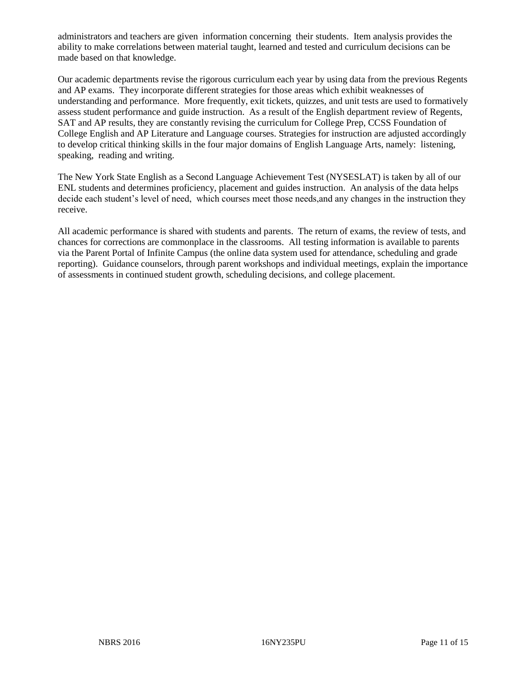administrators and teachers are given information concerning their students. Item analysis provides the ability to make correlations between material taught, learned and tested and curriculum decisions can be made based on that knowledge.

Our academic departments revise the rigorous curriculum each year by using data from the previous Regents and AP exams. They incorporate different strategies for those areas which exhibit weaknesses of understanding and performance. More frequently, exit tickets, quizzes, and unit tests are used to formatively assess student performance and guide instruction. As a result of the English department review of Regents, SAT and AP results, they are constantly revising the curriculum for College Prep, CCSS Foundation of College English and AP Literature and Language courses. Strategies for instruction are adjusted accordingly to develop critical thinking skills in the four major domains of English Language Arts, namely: listening, speaking, reading and writing.

The New York State English as a Second Language Achievement Test (NYSESLAT) is taken by all of our ENL students and determines proficiency, placement and guides instruction. An analysis of the data helps decide each student's level of need, which courses meet those needs, and any changes in the instruction they receive.

All academic performance is shared with students and parents. The return of exams, the review of tests, and chances for corrections are commonplace in the classrooms. All testing information is available to parents via the Parent Portal of Infinite Campus (the online data system used for attendance, scheduling and grade reporting). Guidance counselors, through parent workshops and individual meetings, explain the importance of assessments in continued student growth, scheduling decisions, and college placement.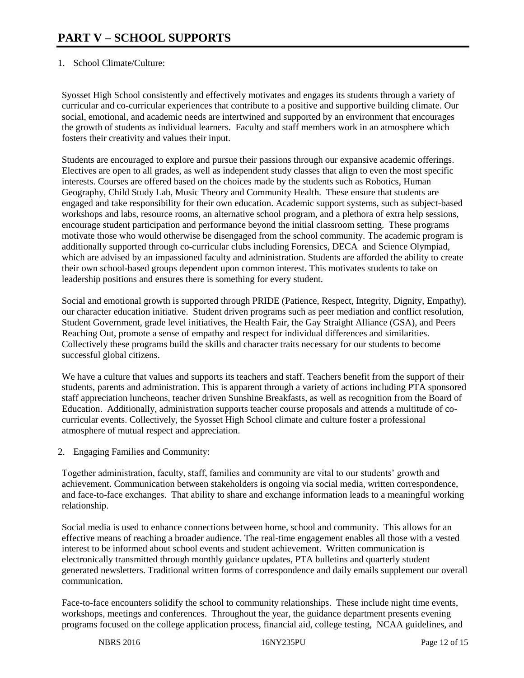# 1. School Climate/Culture:

Syosset High School consistently and effectively motivates and engages its students through a variety of curricular and co-curricular experiences that contribute to a positive and supportive building climate. Our social, emotional, and academic needs are intertwined and supported by an environment that encourages the growth of students as individual learners. Faculty and staff members work in an atmosphere which fosters their creativity and values their input.

Students are encouraged to explore and pursue their passions through our expansive academic offerings. Electives are open to all grades, as well as independent study classes that align to even the most specific interests. Courses are offered based on the choices made by the students such as Robotics, Human Geography, Child Study Lab, Music Theory and Community Health. These ensure that students are engaged and take responsibility for their own education. Academic support systems, such as subject-based workshops and labs, resource rooms, an alternative school program, and a plethora of extra help sessions, encourage student participation and performance beyond the initial classroom setting. These programs motivate those who would otherwise be disengaged from the school community. The academic program is additionally supported through co-curricular clubs including Forensics, DECA and Science Olympiad, which are advised by an impassioned faculty and administration. Students are afforded the ability to create their own school-based groups dependent upon common interest. This motivates students to take on leadership positions and ensures there is something for every student.

Social and emotional growth is supported through PRIDE (Patience, Respect, Integrity, Dignity, Empathy), our character education initiative. Student driven programs such as peer mediation and conflict resolution, Student Government, grade level initiatives, the Health Fair, the Gay Straight Alliance (GSA), and Peers Reaching Out, promote a sense of empathy and respect for individual differences and similarities. Collectively these programs build the skills and character traits necessary for our students to become successful global citizens.

We have a culture that values and supports its teachers and staff. Teachers benefit from the support of their students, parents and administration. This is apparent through a variety of actions including PTA sponsored staff appreciation luncheons, teacher driven Sunshine Breakfasts, as well as recognition from the Board of Education. Additionally, administration supports teacher course proposals and attends a multitude of cocurricular events. Collectively, the Syosset High School climate and culture foster a professional atmosphere of mutual respect and appreciation.

2. Engaging Families and Community:

Together administration, faculty, staff, families and community are vital to our students' growth and achievement. Communication between stakeholders is ongoing via social media, written correspondence, and face-to-face exchanges. That ability to share and exchange information leads to a meaningful working relationship.

Social media is used to enhance connections between home, school and community. This allows for an effective means of reaching a broader audience. The real-time engagement enables all those with a vested interest to be informed about school events and student achievement. Written communication is electronically transmitted through monthly guidance updates, PTA bulletins and quarterly student generated newsletters. Traditional written forms of correspondence and daily emails supplement our overall communication.

Face-to-face encounters solidify the school to community relationships. These include night time events, workshops, meetings and conferences. Throughout the year, the guidance department presents evening programs focused on the college application process, financial aid, college testing, NCAA guidelines, and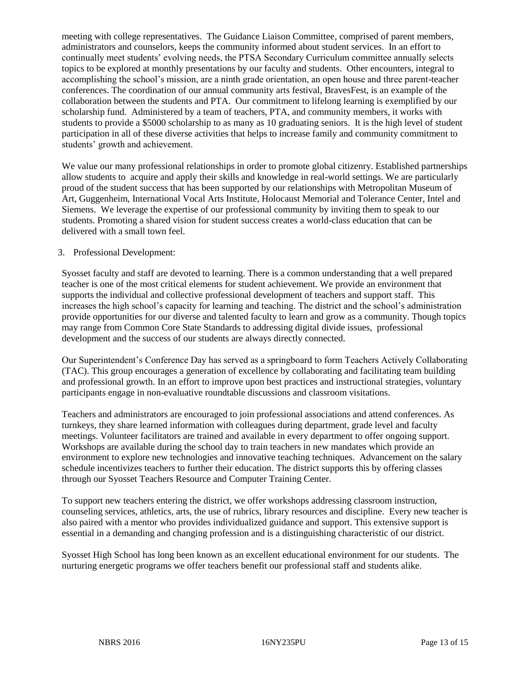meeting with college representatives. The Guidance Liaison Committee, comprised of parent members, administrators and counselors, keeps the community informed about student services. In an effort to continually meet students' evolving needs, the PTSA Secondary Curriculum committee annually selects topics to be explored at monthly presentations by our faculty and students. Other encounters, integral to accomplishing the school's mission, are a ninth grade orientation, an open house and three parent-teacher conferences. The coordination of our annual community arts festival, BravesFest, is an example of the collaboration between the students and PTA. Our commitment to lifelong learning is exemplified by our scholarship fund. Administered by a team of teachers, PTA, and community members, it works with students to provide a \$5000 scholarship to as many as 10 graduating seniors. It is the high level of student participation in all of these diverse activities that helps to increase family and community commitment to students' growth and achievement.

We value our many professional relationships in order to promote global citizenry. Established partnerships allow students to acquire and apply their skills and knowledge in real-world settings. We are particularly proud of the student success that has been supported by our relationships with Metropolitan Museum of Art, Guggenheim, International Vocal Arts Institute, Holocaust Memorial and Tolerance Center, Intel and Siemens. We leverage the expertise of our professional community by inviting them to speak to our students. Promoting a shared vision for student success creates a world-class education that can be delivered with a small town feel.

# 3. Professional Development:

Syosset faculty and staff are devoted to learning. There is a common understanding that a well prepared teacher is one of the most critical elements for student achievement. We provide an environment that supports the individual and collective professional development of teachers and support staff. This increases the high school's capacity for learning and teaching. The district and the school's administration provide opportunities for our diverse and talented faculty to learn and grow as a community. Though topics may range from Common Core State Standards to addressing digital divide issues, professional development and the success of our students are always directly connected.

Our Superintendent's Conference Day has served as a springboard to form Teachers Actively Collaborating (TAC). This group encourages a generation of excellence by collaborating and facilitating team building and professional growth. In an effort to improve upon best practices and instructional strategies, voluntary participants engage in non-evaluative roundtable discussions and classroom visitations.

Teachers and administrators are encouraged to join professional associations and attend conferences. As turnkeys, they share learned information with colleagues during department, grade level and faculty meetings. Volunteer facilitators are trained and available in every department to offer ongoing support. Workshops are available during the school day to train teachers in new mandates which provide an environment to explore new technologies and innovative teaching techniques. Advancement on the salary schedule incentivizes teachers to further their education. The district supports this by offering classes through our Syosset Teachers Resource and Computer Training Center.

To support new teachers entering the district, we offer workshops addressing classroom instruction, counseling services, athletics, arts, the use of rubrics, library resources and discipline. Every new teacher is also paired with a mentor who provides individualized guidance and support. This extensive support is essential in a demanding and changing profession and is a distinguishing characteristic of our district.

Syosset High School has long been known as an excellent educational environment for our students. The nurturing energetic programs we offer teachers benefit our professional staff and students alike.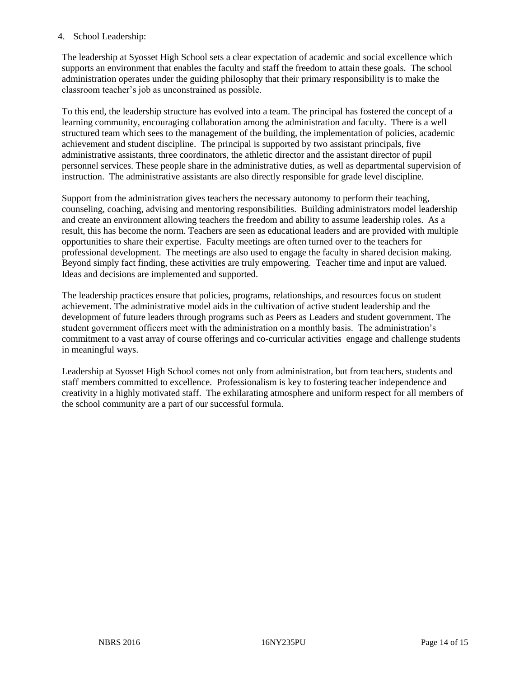# 4. School Leadership:

The leadership at Syosset High School sets a clear expectation of academic and social excellence which supports an environment that enables the faculty and staff the freedom to attain these goals. The school administration operates under the guiding philosophy that their primary responsibility is to make the classroom teacher's job as unconstrained as possible.

To this end, the leadership structure has evolved into a team. The principal has fostered the concept of a learning community, encouraging collaboration among the administration and faculty. There is a well structured team which sees to the management of the building, the implementation of policies, academic achievement and student discipline. The principal is supported by two assistant principals, five administrative assistants, three coordinators, the athletic director and the assistant director of pupil personnel services. These people share in the administrative duties, as well as departmental supervision of instruction. The administrative assistants are also directly responsible for grade level discipline.

Support from the administration gives teachers the necessary autonomy to perform their teaching, counseling, coaching, advising and mentoring responsibilities. Building administrators model leadership and create an environment allowing teachers the freedom and ability to assume leadership roles. As a result, this has become the norm. Teachers are seen as educational leaders and are provided with multiple opportunities to share their expertise. Faculty meetings are often turned over to the teachers for professional development. The meetings are also used to engage the faculty in shared decision making. Beyond simply fact finding, these activities are truly empowering. Teacher time and input are valued. Ideas and decisions are implemented and supported.

The leadership practices ensure that policies, programs, relationships, and resources focus on student achievement. The administrative model aids in the cultivation of active student leadership and the development of future leaders through programs such as Peers as Leaders and student government. The student government officers meet with the administration on a monthly basis. The administration's commitment to a vast array of course offerings and co-curricular activities engage and challenge students in meaningful ways.

Leadership at Syosset High School comes not only from administration, but from teachers, students and staff members committed to excellence. Professionalism is key to fostering teacher independence and creativity in a highly motivated staff. The exhilarating atmosphere and uniform respect for all members of the school community are a part of our successful formula.